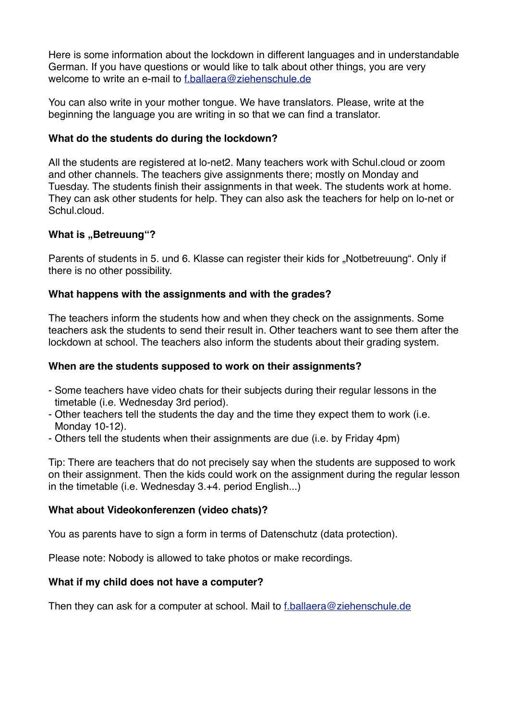Here is some information about the lockdown in different languages and in understandable German. If you have questions or would like to talk about other things, you are very welcome to write an e-mail to [f.ballaera@ziehenschule.de](mailto:f.ballaera@ziehenschule.de)

You can also write in your mother tongue. We have translators. Please, write at the beginning the language you are writing in so that we can find a translator.

## **What do the students do during the lockdown?**

All the students are registered at lo-net2. Many teachers work with Schul.cloud or zoom and other channels. The teachers give assignments there; mostly on Monday and Tuesday. The students finish their assignments in that week. The students work at home. They can ask other students for help. They can also ask the teachers for help on lo-net or Schul.cloud.

## **What is ..Betreuung"?**

Parents of students in 5. und 6. Klasse can register their kids for "Notbetreuung". Only if there is no other possibility.

## **What happens with the assignments and with the grades?**

The teachers inform the students how and when they check on the assignments. Some teachers ask the students to send their result in. Other teachers want to see them after the lockdown at school. The teachers also inform the students about their grading system.

#### **When are the students supposed to work on their assignments?**

- Some teachers have video chats for their subjects during their regular lessons in the timetable (i.e. Wednesday 3rd period).
- Other teachers tell the students the day and the time they expect them to work (i.e. Monday 10-12).
- Others tell the students when their assignments are due (i.e. by Friday 4pm)

Tip: There are teachers that do not precisely say when the students are supposed to work on their assignment. Then the kids could work on the assignment during the regular lesson in the timetable (i.e. Wednesday 3.+4. period English...)

#### **What about Videokonferenzen (video chats)?**

You as parents have to sign a form in terms of Datenschutz (data protection).

Please note: Nobody is allowed to take photos or make recordings.

# **What if my child does not have a computer?**

Then they can ask for a computer at school. Mail to [f.ballaera@ziehenschule.de](mailto:f.ballaera@ziehenschule.de)